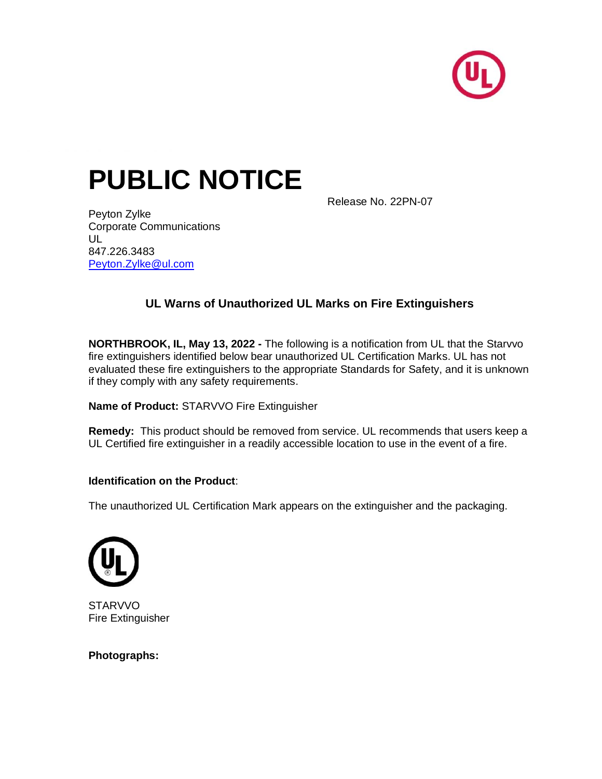

# **PUBLIC NOTICE**

Release No. 22PN-07

Peyton Zylke Corporate Communications UL 847.226.3483 [Peyton.Zylke@ul.com](mailto:Peyton.Zylke@ul.com)

## **UL Warns of Unauthorized UL Marks on Fire Extinguishers**

**NORTHBROOK, IL, May 13, 2022 -** The following is a notification from UL that the Starvvo fire extinguishers identified below bear unauthorized UL Certification Marks. UL has not evaluated these fire extinguishers to the appropriate Standards for Safety, and it is unknown if they comply with any safety requirements.

### **Name of Product:** STARVVO Fire Extinguisher

**Remedy:** This product should be removed from service. UL recommends that users keep a UL Certified fire extinguisher in a readily accessible location to use in the event of a fire.

### **Identification on the Product**:

The unauthorized UL Certification Mark appears on the extinguisher and the packaging.



**STARVVO** Fire Extinguisher

**Photographs:**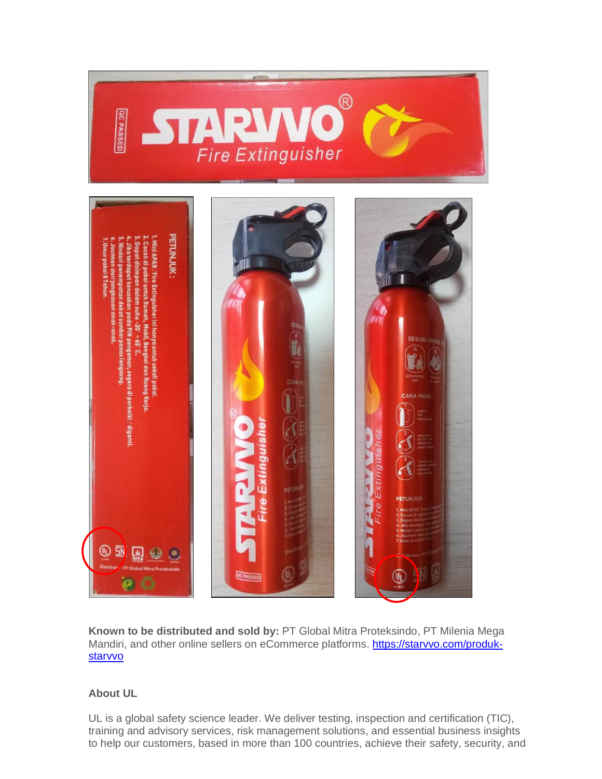

**Known to be distributed and sold by:** PT Global Mitra Proteksindo, PT Milenia Mega Mandiri, and other online sellers on eCommerce platforms. [https://starvvo.com/produk](https://starvvo.com/produk-starvvo)[starvvo](https://starvvo.com/produk-starvvo)

### **About UL**

UL is a global safety science leader. We deliver testing, inspection and certification (TIC), training and advisory services, risk management solutions, and essential business insights to help our customers, based in more than 100 countries, achieve their safety, security, and